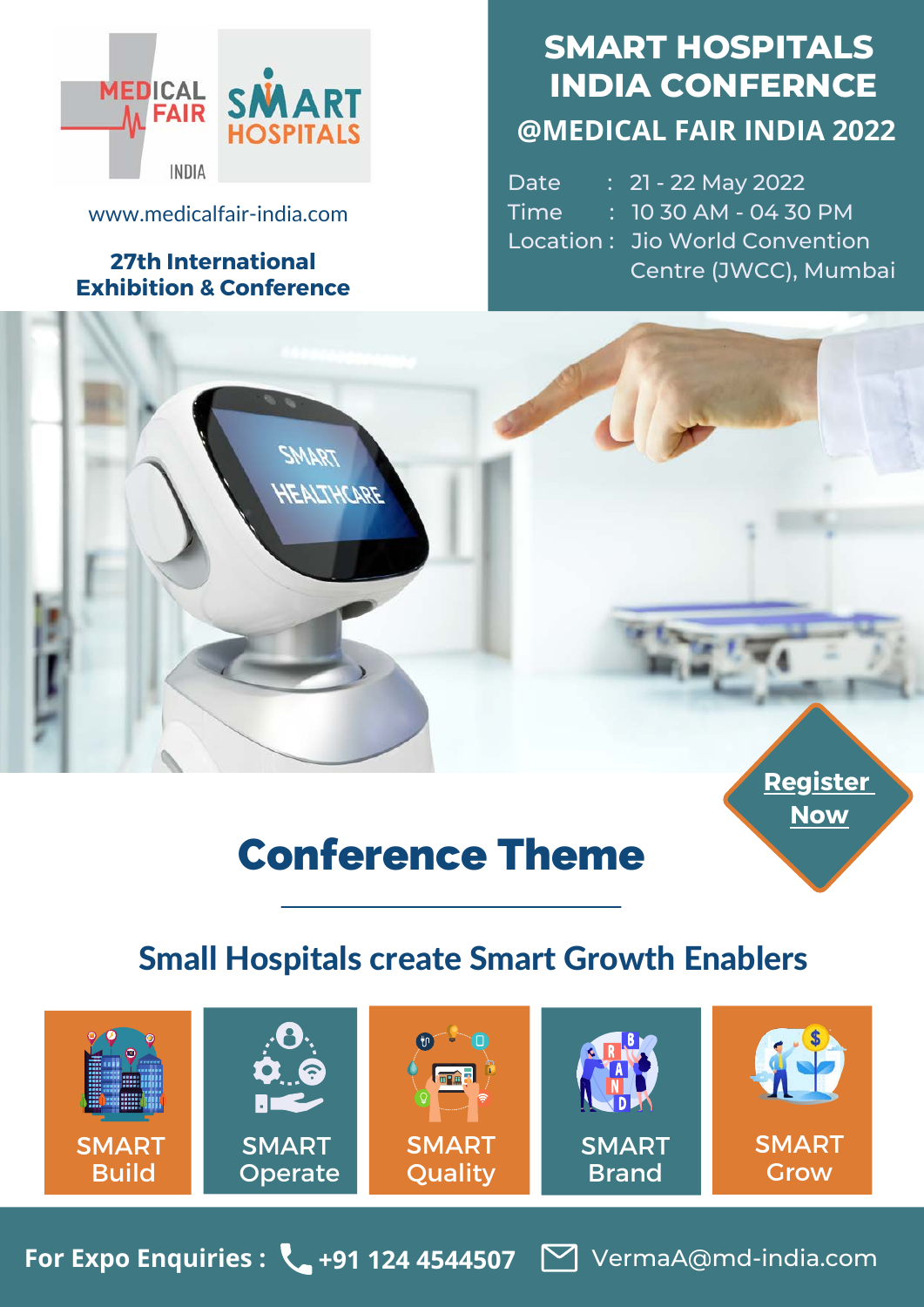

[www.medicalfair-india.com](https://www.medicalfair-india.com/)

#### **27th International Exhibition & Conference**

HEALTHCARE

# **SMART HOSPITALS INDIA CONFERNCE @MEDICAL FAIR INDIA 2022**

Date : 21 - 22 May 2022 Time : 10 30 AM - 04 30 PM Location : Jio World Convention Centre (JWCC), Mumbai



# Conference Theme

# Small Hospitals create Smart Growth Enablers



**For Expo Enquiries : +91 124 4544507** [VermaA@md-india.com](mailto:VermaA@md-india.com)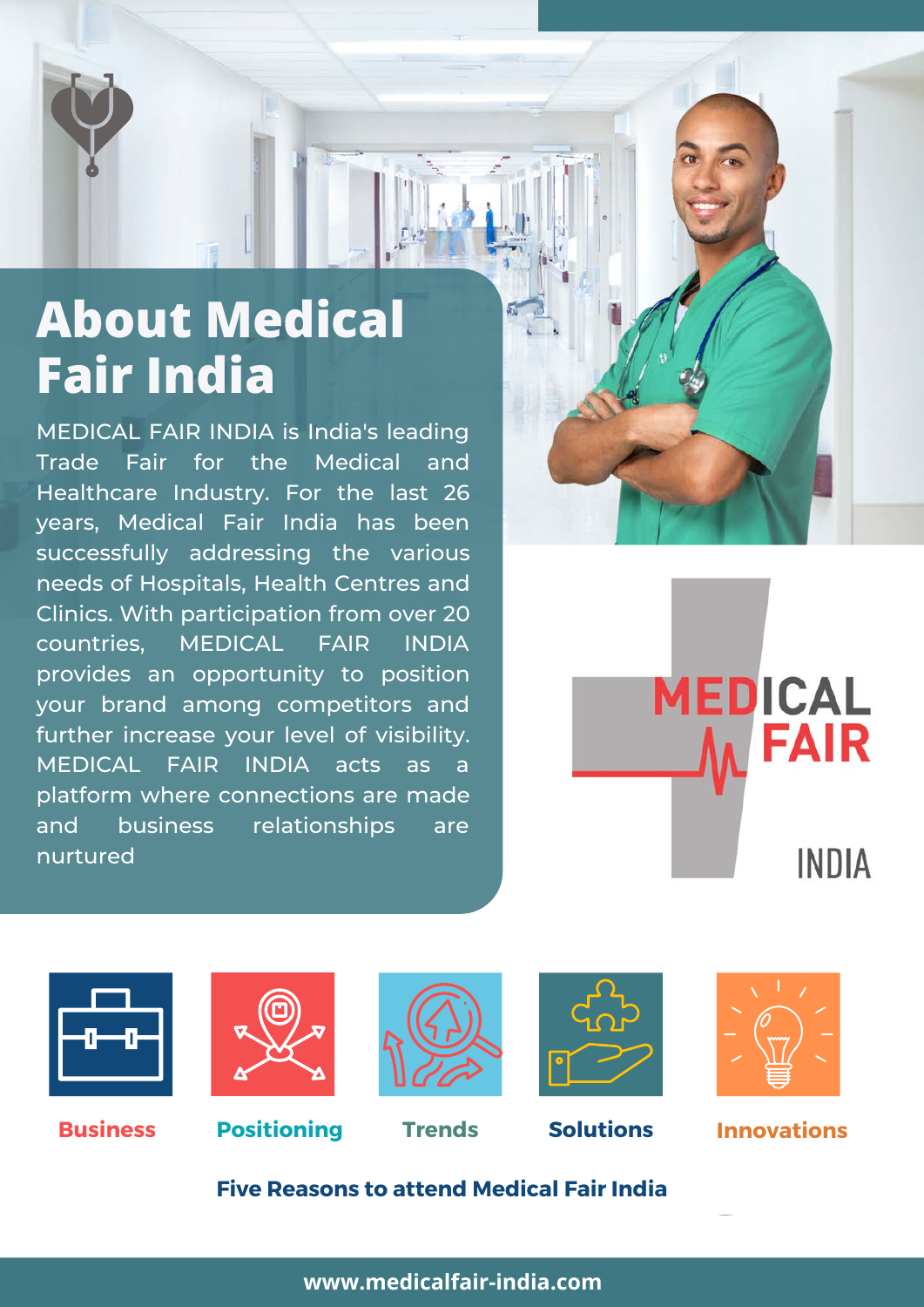# **About Medical Fair India**

MEDICAL FAIR INDIA is India's leading Trade Fair for the Medical and Healthcare Industry. For the last 26 years, Medical Fair India has been successfully addressing the various needs of Hospitals, Health Centres and Clinics. With participation from over 20 countries, MEDICAL FAIR INDIA provides an opportunity to position your brand among competitors and further increase your level of visibility. MEDICAL FAIR INDIA acts as a platform where connections are made and business relationships are nurtured

**MEDICAL FAIR INDIA** 













#### **Innovations**

**Five Reasons to attend Medical Fair India**

**[www.medicalfair-india.com](https://www.medicalfair-india.com/)**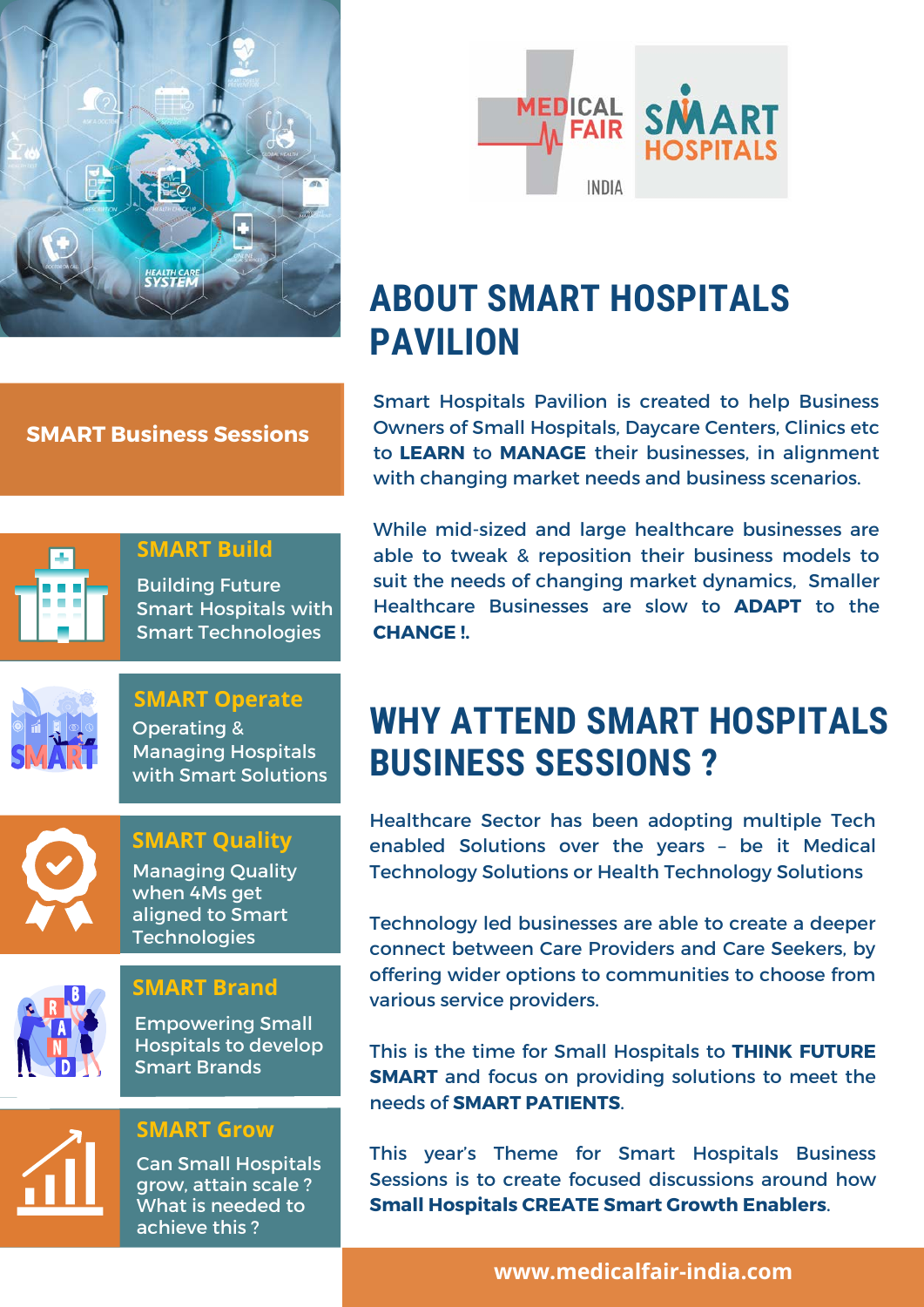



# **ABOUT SMART HOSPITALS PAVILION**

Smart Hospitals Pavilion is created to help Business Owners of Small Hospitals, Daycare Centers, Clinics etc to **LEARN** to **MANAGE** their businesses, in alignment with changing market needs and business scenarios.

While mid-sized and large healthcare businesses are able to tweak & reposition their business models to suit the needs of changing market dynamics, Smaller Healthcare Businesses are slow to **ADAPT** to the **CHANGE !.**

# **WHY ATTEND SMART HOSPITALS BUSINESS SESSIONS ?**

Healthcare Sector has been adopting multiple Tech enabled Solutions over the years – be it Medical Technology Solutions or Health Technology Solutions

Technology led businesses are able to create a deeper connect between Care Providers and Care Seekers, by offering wider options to communities to choose from various service providers.

This is the time for Small Hospitals to **THINK FUTURE SMART** and focus on providing solutions to meet the needs of **SMART PATIENTS**.

This year's Theme for Smart Hospitals Business Sessions is to create focused discussions around how **Small Hospitals CREATE Smart Growth Enablers**.

**SMART Business Sessions**



#### **SMART Build**

Building Future Smart Hospitals with Smart Technologies



**SMART Operate** Operating & Managing Hospitals with Smart Solutions



Managing Quality when 4Ms get aligned to Smart **Technologies SMART Quality**





Empowering Small Hospitals to develop Smart Brands



**SMART Grow**

Can Small Hospitals grow, attain scale ? What is needed to achieve this ?

**[www.medicalfair-india.com](https://www.medicalfair-india.com/)**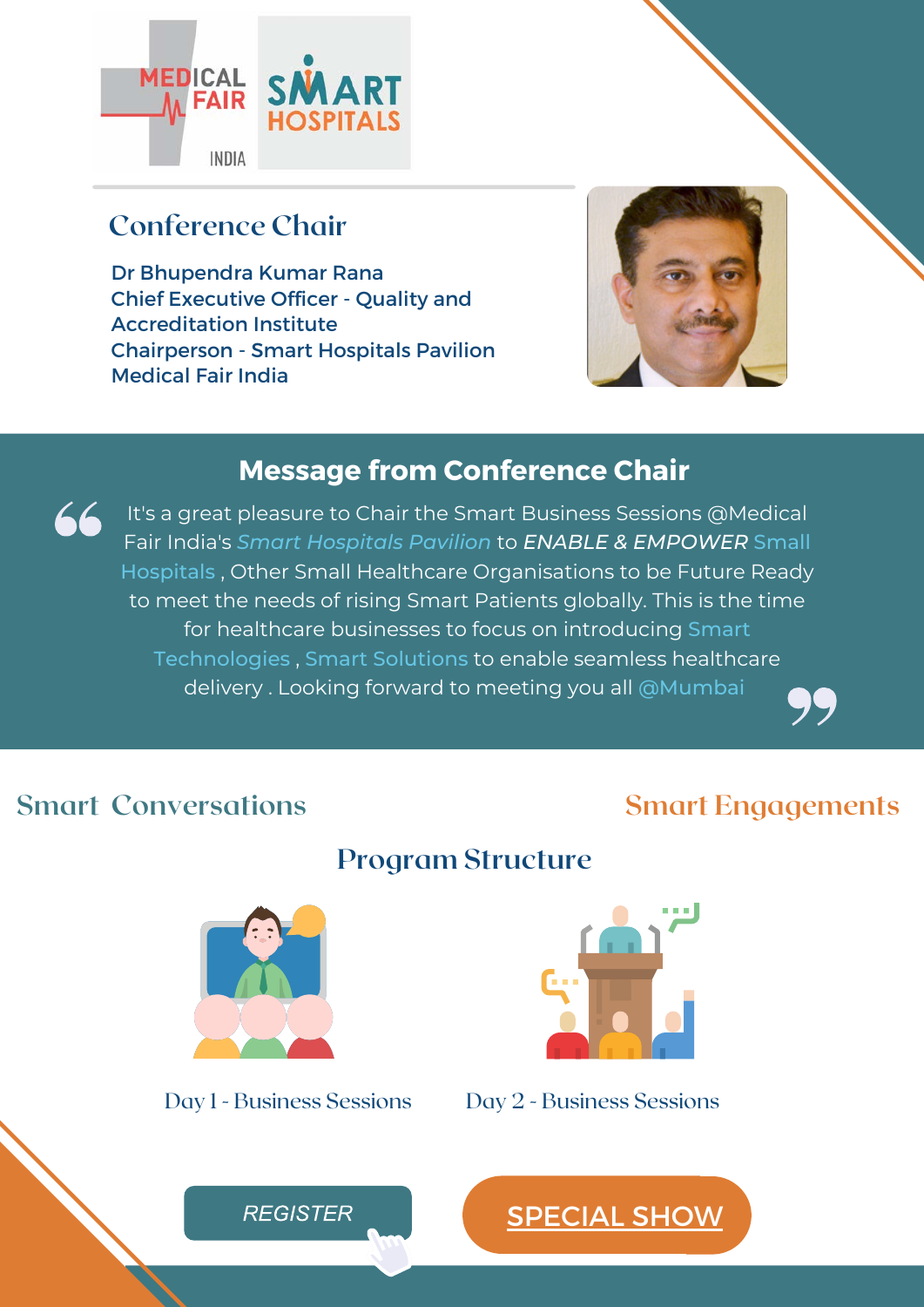

## **Conference Chair**

Dr Bhupendra Kumar Rana Chief Executive Officer - Quality and Accreditation Institute Chairperson - Smart Hospitals Pavilion Medical Fair India



#### **Message from Conference Chair**

66 It's a great pleasure to Chair the Smart Business Sessions @Medical Fair India's *Smart Hospitals Pavilion* to *ENABLE & EMPOWER* Small Hospitals , Other Small Healthcare Organisations to be Future Ready to meet the needs of rising Smart Patients globally. This is the time for healthcare businesses to focus on introducing Smart Technologies , Smart Solutions to enable seamless healthcare delivery . Looking forward to meeting you all @Mumbai

**Program Structure**

### **Smart Conversations**

#### **Smart Engagements**





Day 1 - Business Sessions Day 2 - Business Sessions

[SPECIAL SHOW](https://www.medicalfair-india.com/en/Special_Shows/Smart_Hospitals)

**REGISTER**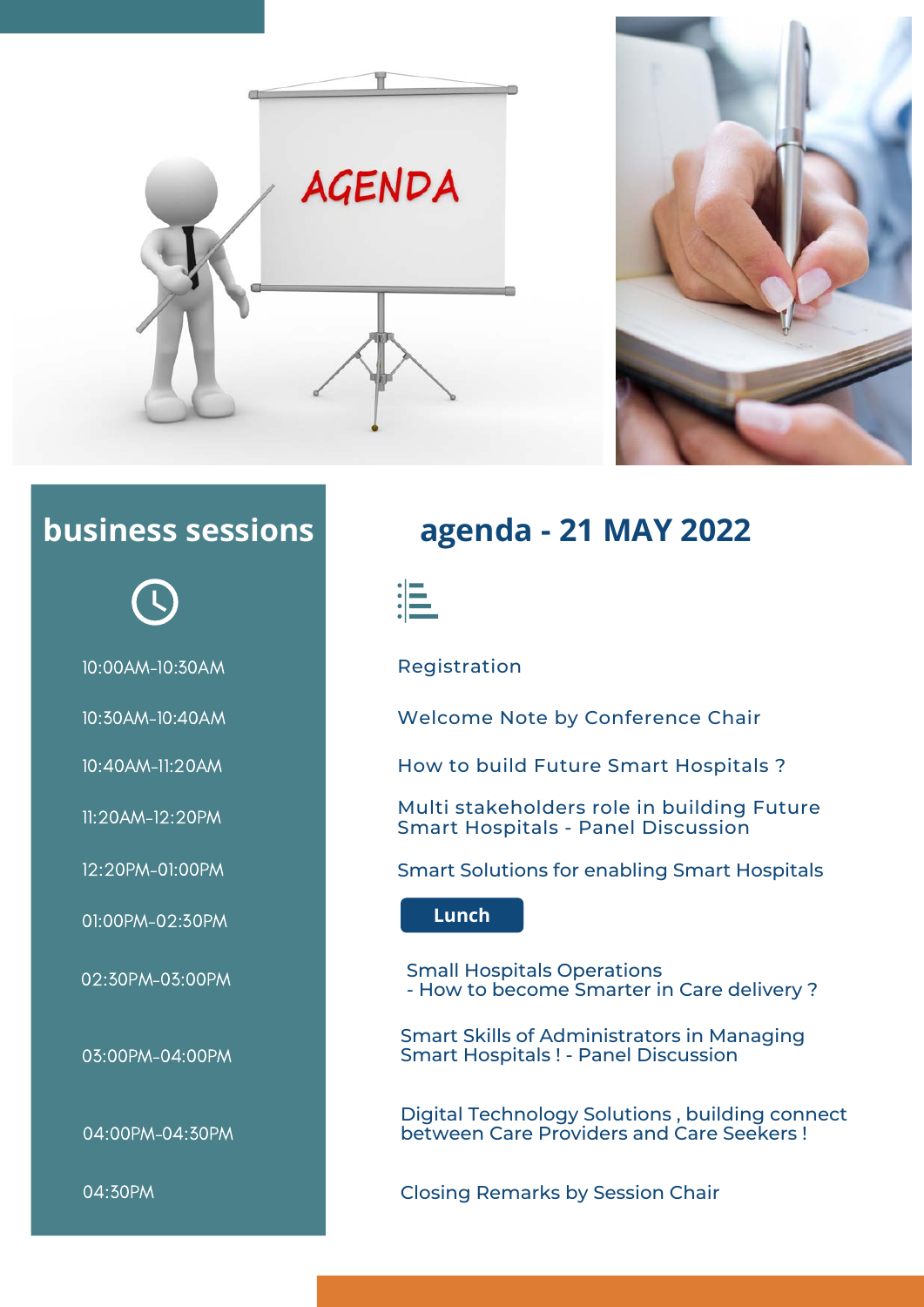





10:00AM-10:30AM Registration

01:00PM-02:30PM **Lunch**

03:00PM-04:00PM

04:00PM-04:30PM

# **business sessions agenda - 21 MAY 2022**



10:30AM-10:40AM Welcome Note by Conference Chair

10:40AM-11:20AM How to build Future Smart Hospitals ?

11:20AM-12:20PM Multi stakeholders role in building Future Smart Hospitals - Panel Discussion

12:20PM-01:00PM Smart Solutions for enabling Smart Hospitals

02:30PM-03:00PM Small Hospitals Operations - How to become Smarter in Care delivery ?

> Smart Skills of Administrators in Managing Smart Hospitals ! - Panel Discussion

Digital Technology Solutions , building connect between Care Providers and Care Seekers !

04:30PM Closing Remarks by Session Chair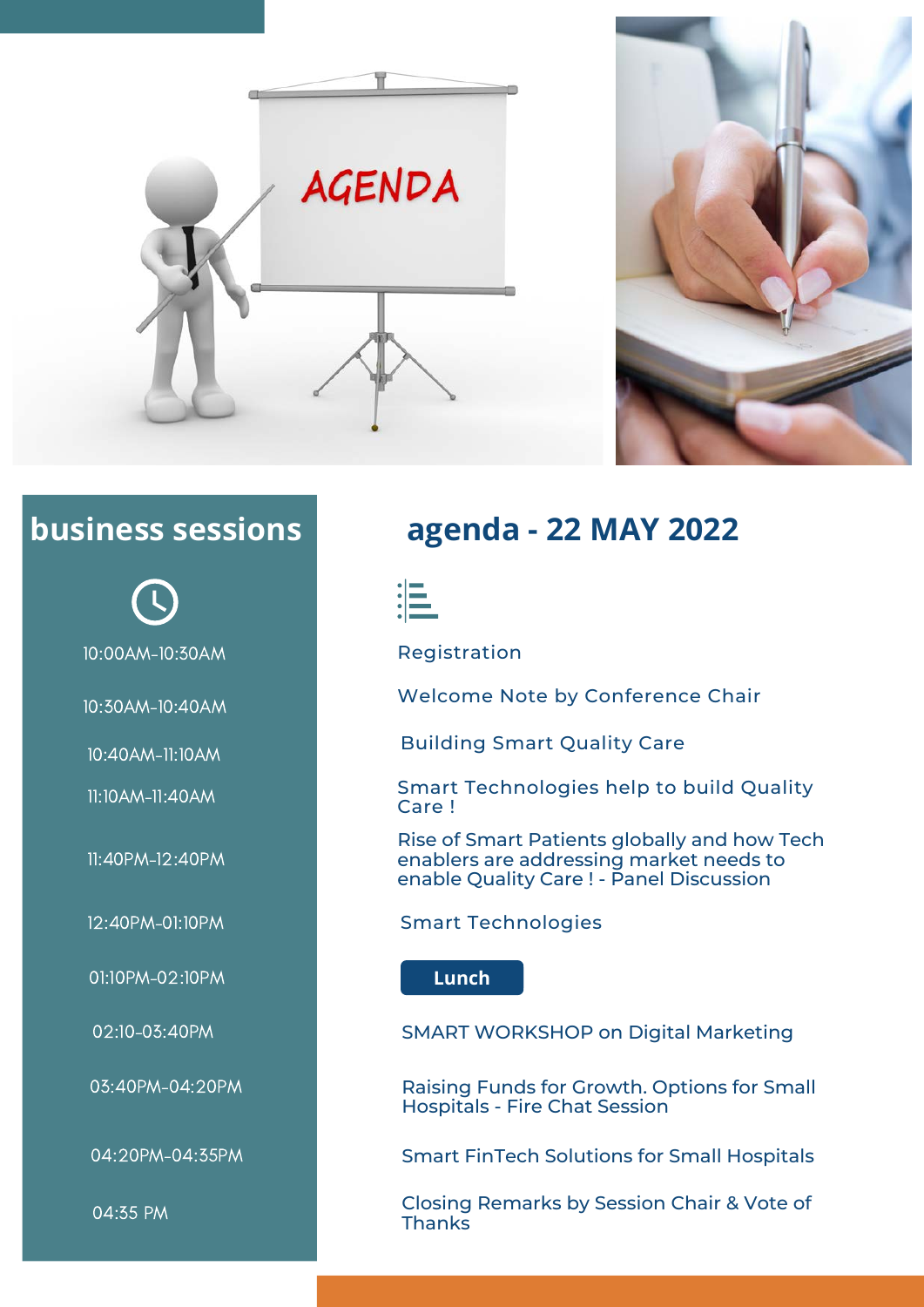



10:00AM-10:30AM Registration

11:40PM-12:40PM

01:10PM-02:10PM **Lunch**

04:35 PM

# **business sessions agenda - 22 MAY 2022**



10:30AM-10:40AM Welcome Note by Conference Chair

10:40AM-11:10AM Building Smart Quality Care

11:10AM-11:40AM Smart Technologies help to build Quality Care !

> Rise of Smart Patients globally and how Tech enablers are addressing market needs to enable Quality Care ! - Panel Discussion

12:40PM-01:10PM Smart Technologies

02:10-03:40PM SMART WORKSHOP on Digital Marketing

03:40PM-04:20PM **Raising Funds for Growth. Options for Small** Hospitals - Fire Chat Session

04:20PM-04:35PM Smart FinTech Solutions for Small Hospitals

Closing Remarks by Session Chair & Vote of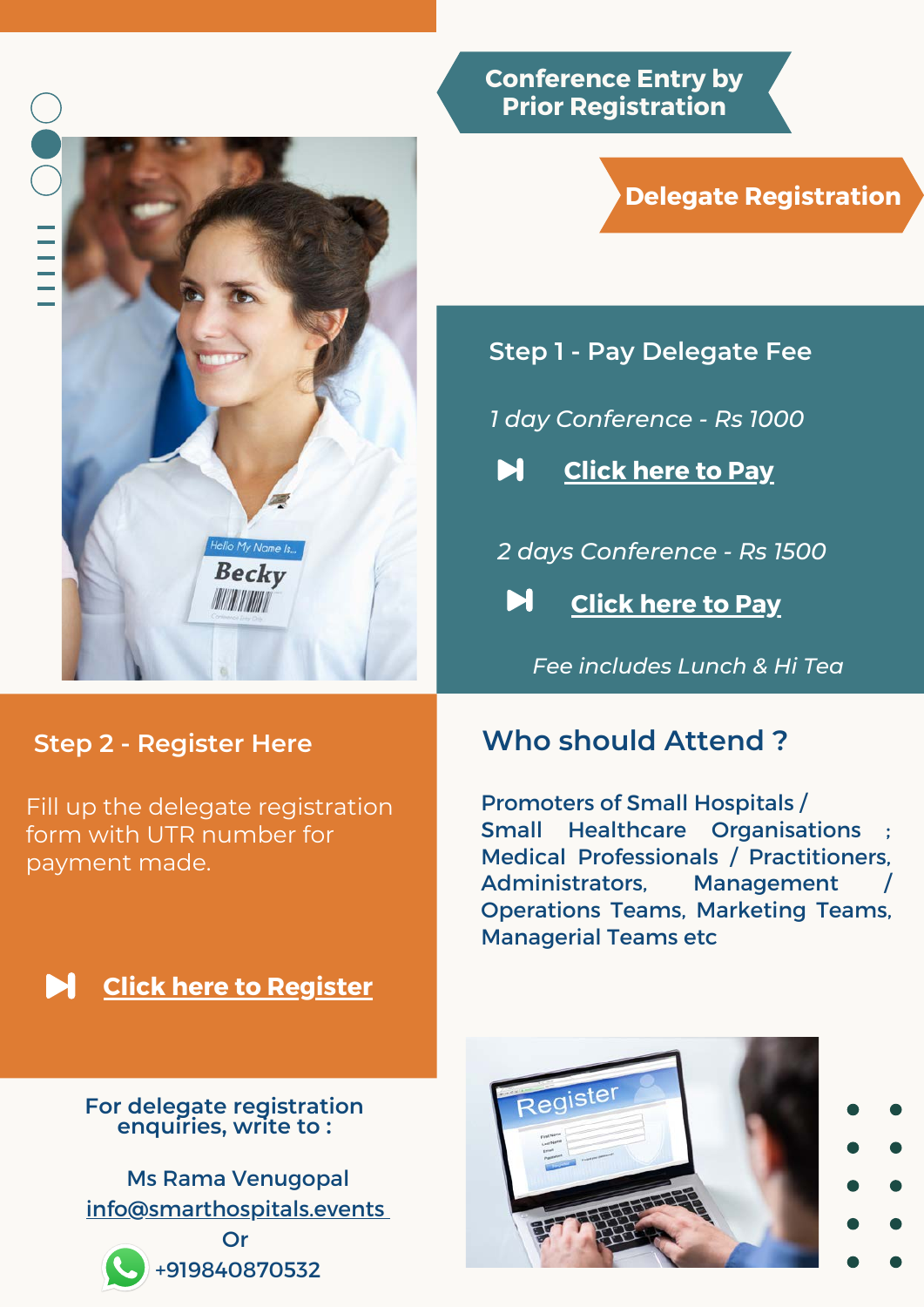

### **Step 2 - Register Here**

Fill up the delegate registration form with UTR number for payment made.

**[Click here to Register](https://www.medicalfair-india.com/en/Special_Shows/Smart_Hospitals)**

**For delegate registration enquiries, write to :**

Ms Rama Venugopal [info@smarthospitals.events](mailto:info@smarthospitals.events)



Or +919840870532 **Conference Entry by Prior Registration**

### **Delegate Registration**

**Step 1 - Pay Delegate Fee**

*1 day Conference - Rs 1000*

**[Click here to Pay](https://imjo.in/UJCfTa)** Ы

*2 days Conference - Rs 1500*

Ы **[Click here to Pay](https://imjo.in/SXc4wR)**

*Fee includes Lunch & Hi Tea*

### **Who should Attend ?**

Promoters of Small Hospitals / Small Healthcare Organisations Medical Professionals / Practitioners, Administrators, Management Operations Teams, Marketing Teams, Managerial Teams etc